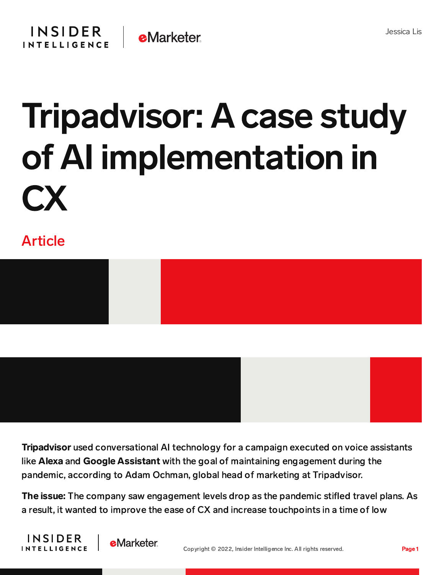

## Tripadvisor: A case study of AI implementation in CX

## Article





Tripadvisor used conversational AI technology for a campaign executed on voice assistants like Alexa and Google Assistant with the goal of maintaining engagement during the pandemic, according to Adam Ochman, global head of marketing at Tripadvisor.

The issue: The company saw engagement levels drop as the pandemic stifled travel plans. As a result, it wanted to improve the ease of CX and increase touchpoints in a time of low



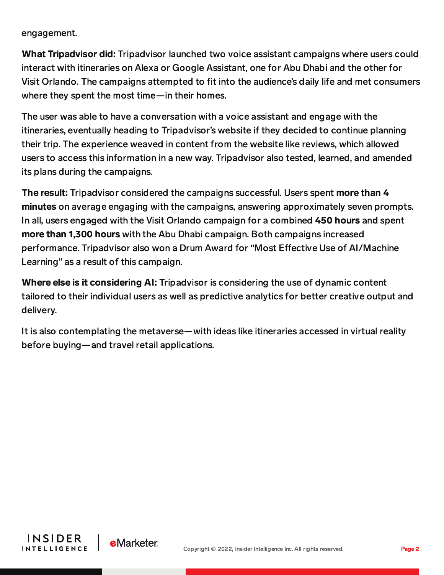engagement.

What Tripadvisor did: Tripadvisor launched two voice assistant campaigns where users could interact with itineraries on Alexa or Google Assistant, one for Abu Dhabi and the other for Visit Orlando. The campaigns attempted to fit into the audience's daily life and met consumers where they spent the most time—in their homes.

The user was able to have a conversation with a voice assistant and engage with the itineraries, eventually heading to Tripadvisor's website if they decided to continue planning their trip. The experience weaved in content from the website like reviews, which allowed users to access this information in a new way. Tripadvisor also tested, learned, and amended its plans during the campaigns.

The result: Tripadvisor considered the campaigns successful. Users spent more than 4 minutes on average engaging with the campaigns, answering approximately seven prompts. In all, users engaged with the Visit Orlando campaign for a combined 450 hours and spent more than 1,300 hours with the Abu Dhabi campaign. Both campaigns increased performance. Tripadvisor also won a Drum Award for "Most Effective Use of AI/Machine Learning" as a result of this campaign.

Where else is it considering AI: Tripadvisor is considering the use of dynamic content tailored to their individual users as well as predictive analytics for better creative output and delivery.

It is also contemplating the metaverse—with ideas like itineraries accessed in virtual reality before buying—and travel retail applications.